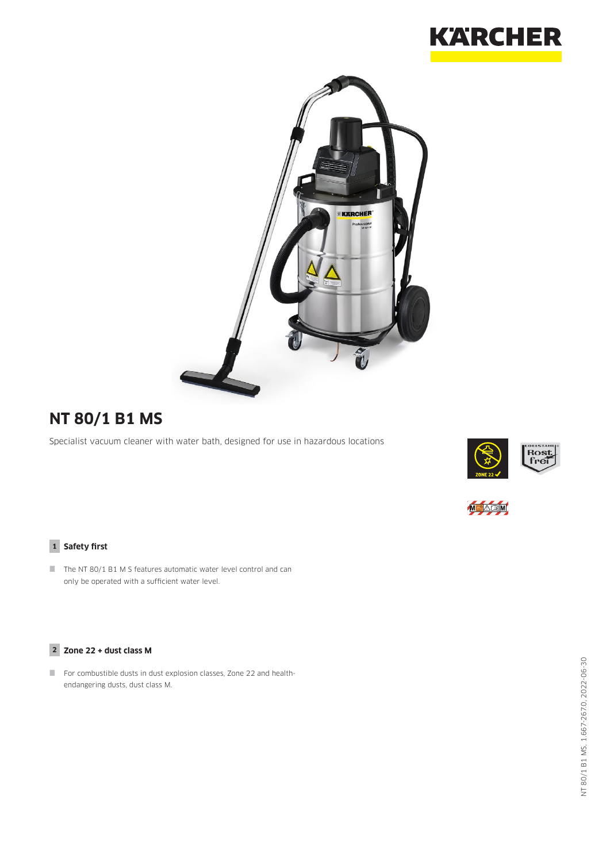



# **NT 80/1 B1 MS**

Specialist vacuum cleaner with water bath, designed for use in hazardous locations





#### **1 Safety first**

The NT 80/1 B1 M S features automatic water level control and can only be operated with a sufficient water level.

#### **2 Zone 22 + dust class M**

 For combustible dusts in dust explosion classes, Zone 22 and healthendangering dusts, dust class M.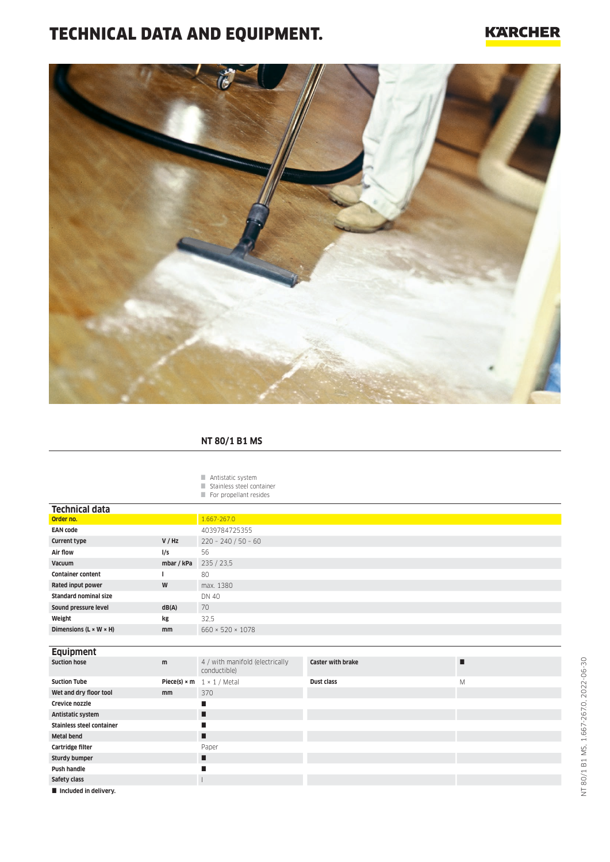# TECHNICAL DATA AND EQUIPMENT.

### **KARCHER**



#### **NT 80/1 B1 MS**

#### Antistatic system

- Stainless steel container
- For propellant resides

| <b>Technical data</b>                |            |                                                        |                          |   |  |  |  |  |  |
|--------------------------------------|------------|--------------------------------------------------------|--------------------------|---|--|--|--|--|--|
| Order no.                            |            | 1.667-267.0                                            |                          |   |  |  |  |  |  |
| <b>EAN code</b>                      |            | 4039784725355                                          |                          |   |  |  |  |  |  |
| <b>Current type</b>                  | V / Hz     | $220 - 240 / 50 - 60$                                  |                          |   |  |  |  |  |  |
| Air flow                             | I/s        | 56                                                     |                          |   |  |  |  |  |  |
| Vacuum                               | mbar / kPa | 235 / 23,5                                             |                          |   |  |  |  |  |  |
| <b>Container content</b>             |            | 80                                                     |                          |   |  |  |  |  |  |
| Rated input power                    | W          | max. 1380                                              |                          |   |  |  |  |  |  |
| <b>Standard nominal size</b>         |            | <b>DN 40</b>                                           |                          |   |  |  |  |  |  |
| Sound pressure level                 | dB(A)      | 70                                                     |                          |   |  |  |  |  |  |
| Weight                               | kg         | 32,5                                                   |                          |   |  |  |  |  |  |
| Dimensions ( $L \times W \times H$ ) | mm         | $660 \times 520 \times 1078$                           |                          |   |  |  |  |  |  |
|                                      |            |                                                        |                          |   |  |  |  |  |  |
| <b>Equipment</b>                     |            |                                                        |                          |   |  |  |  |  |  |
| <b>Suction hose</b>                  | m          | 4 / with manifold (electrically<br>conductible)        | <b>Caster with brake</b> | П |  |  |  |  |  |
| <b>Suction Tube</b>                  |            | <b>Piece(s)</b> $\times$ <b>m</b> 1 $\times$ 1 / Metal | Dust class               | M |  |  |  |  |  |
| Wet and dry floor tool               | mm         | 370                                                    |                          |   |  |  |  |  |  |
| Crevice nozzle                       |            | П                                                      |                          |   |  |  |  |  |  |
| Antistatic system                    |            | п                                                      |                          |   |  |  |  |  |  |
| <b>Stainless steel container</b>     |            | п                                                      |                          |   |  |  |  |  |  |
| <b>Metal bend</b>                    |            | п                                                      |                          |   |  |  |  |  |  |
| Cartridge filter                     |            | Paper                                                  |                          |   |  |  |  |  |  |
| <b>Sturdy bumper</b>                 |            | п                                                      |                          |   |  |  |  |  |  |
| <b>Push handle</b>                   |            | п                                                      |                          |   |  |  |  |  |  |
| Safety class                         |            |                                                        |                          |   |  |  |  |  |  |
| Included in delivery.                |            |                                                        |                          |   |  |  |  |  |  |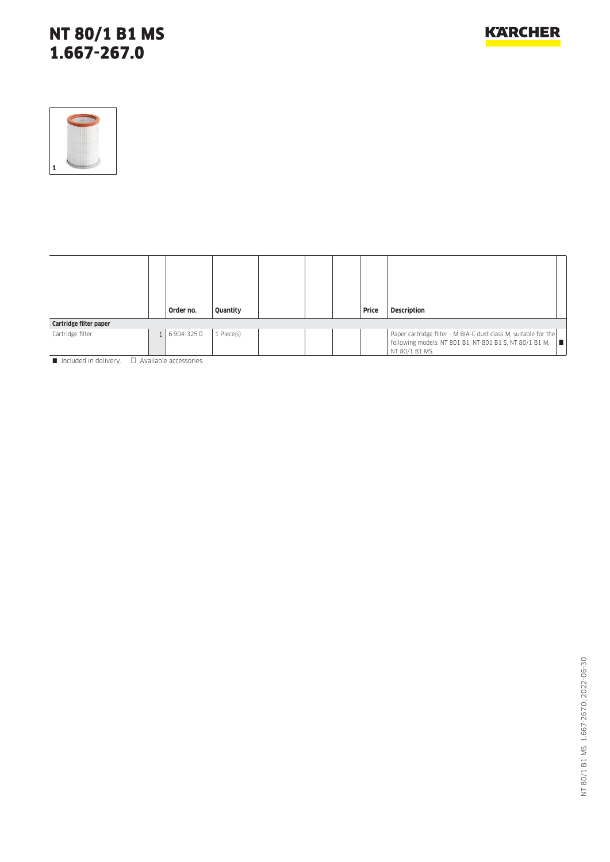## NT 80/1 B1 MS 1.667-267.0



|                        |        | Order no.   | Quantity   |  | Price | <b>Description</b>                                                                                                                             |
|------------------------|--------|-------------|------------|--|-------|------------------------------------------------------------------------------------------------------------------------------------------------|
| Cartridge filter paper |        |             |            |  |       |                                                                                                                                                |
| Cartridge filter       | $-1$ . | 6.904-325.0 | 1 Piece(s) |  |       | Paper cartridge filter - M BIA-C dust class M, suitable for the<br>following models: NT 801 B1, NT 801 B1 S, NT 80/1 B1 M, ■<br>NT 80/1 B1 MS. |

 $\blacksquare$  Included in delivery.  $\Box$  Available accessories.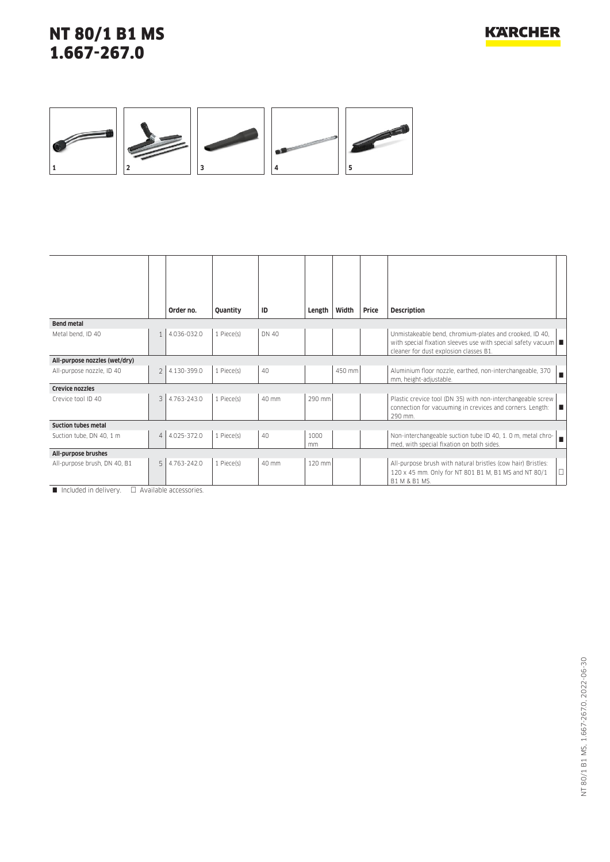## NT 80/1 B1 MS 1.667-267.0



|                               |                | Order no.   | Quantity   | ID    | Length     | Width  | Price | <b>Description</b>                                                                                                                                                       |
|-------------------------------|----------------|-------------|------------|-------|------------|--------|-------|--------------------------------------------------------------------------------------------------------------------------------------------------------------------------|
| <b>Bend metal</b>             |                |             |            |       |            |        |       |                                                                                                                                                                          |
| Metal bend. ID 40             |                | 4.036-032.0 | 1 Piece(s) | DN 40 |            |        |       | Unmistakeable bend, chromium-plates and crooked, ID 40,<br>with special fixation sleeves use with special safety vacuum $\Box$<br>cleaner for dust explosion classes B1. |
| All-purpose nozzles (wet/dry) |                |             |            |       |            |        |       |                                                                                                                                                                          |
| All-purpose nozzle, ID 40     | $\overline{2}$ | 4.130-399.0 | 1 Piece(s) | 40    |            | 450 mm |       | Aluminium floor nozzle, earthed, non-interchangeable, 370<br>mm, height-adjustable.                                                                                      |
| <b>Crevice nozzles</b>        |                |             |            |       |            |        |       |                                                                                                                                                                          |
| Crevice tool ID 40            | 3              | 4.763-243.0 | 1 Piece(s) | 40 mm | 290 mm     |        |       | Plastic crevice tool (DN 35) with non-interchangeable screw<br>connection for vacuuming in crevices and corners. Length:<br>IT.<br>290 mm.                               |
| <b>Suction tubes metal</b>    |                |             |            |       |            |        |       |                                                                                                                                                                          |
| Suction tube, DN 40, 1 m      | $\overline{4}$ | 4.025-372.0 | 1 Piece(s) | 40    | 1000<br>mm |        |       | Non-interchangeable suction tube ID 40, 1.0 m, metal chro-<br>med, with special fixation on both sides.                                                                  |
| All-purpose brushes           |                |             |            |       |            |        |       |                                                                                                                                                                          |
| All-purpose brush, DN 40, B1  | 5              | 4.763-242.0 | 1 Piece(s) | 40 mm | 120 mm     |        |       | All-purpose brush with natural bristles (cow hair) Bristles:<br>120 x 45 mm. Only for NT 801 B1 M, B1 MS and NT 80/1<br>B1 M & B1 MS.                                    |

 $\Box$  Included in delivery.  $\Box$  Available accessories.